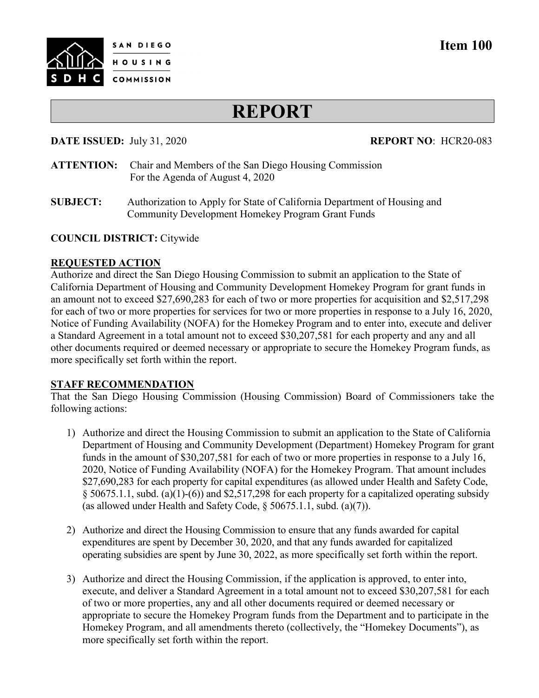

# **Item 100**

# **REPORT**

### **DATE ISSUED:** July 31, 2020 **REPORT NO**: HCR20-083

- **ATTENTION:** Chair and Members of the San Diego Housing Commission For the Agenda of August 4, 2020
- **SUBJECT:** Authorization to Apply for State of California Department of Housing and Community Development Homekey Program Grant Funds

#### **COUNCIL DISTRICT:** Citywide

#### **REQUESTED ACTION**

Authorize and direct the San Diego Housing Commission to submit an application to the State of California Department of Housing and Community Development Homekey Program for grant funds in an amount not to exceed \$27,690,283 for each of two or more properties for acquisition and \$2,517,298 for each of two or more properties for services for two or more properties in response to a July 16, 2020, Notice of Funding Availability (NOFA) for the Homekey Program and to enter into, execute and deliver a Standard Agreement in a total amount not to exceed \$30,207,581 for each property and any and all other documents required or deemed necessary or appropriate to secure the Homekey Program funds, as more specifically set forth within the report.

## **STAFF RECOMMENDATION**

That the San Diego Housing Commission (Housing Commission) Board of Commissioners take the following actions:

- 1) Authorize and direct the Housing Commission to submit an application to the State of California Department of Housing and Community Development (Department) Homekey Program for grant funds in the amount of \$30,207,581 for each of two or more properties in response to a July 16, 2020, Notice of Funding Availability (NOFA) for the Homekey Program. That amount includes \$27,690,283 for each property for capital expenditures (as allowed under Health and Safety Code, § 50675.1.1, subd. (a)(1)-(6)) and \$2,517,298 for each property for a capitalized operating subsidy (as allowed under Health and Safety Code, § 50675.1.1, subd. (a)(7)).
- 2) Authorize and direct the Housing Commission to ensure that any funds awarded for capital expenditures are spent by December 30, 2020, and that any funds awarded for capitalized operating subsidies are spent by June 30, 2022, as more specifically set forth within the report.
- 3) Authorize and direct the Housing Commission, if the application is approved, to enter into, execute, and deliver a Standard Agreement in a total amount not to exceed \$30,207,581 for each of two or more properties, any and all other documents required or deemed necessary or appropriate to secure the Homekey Program funds from the Department and to participate in the Homekey Program, and all amendments thereto (collectively, the "Homekey Documents"), as more specifically set forth within the report.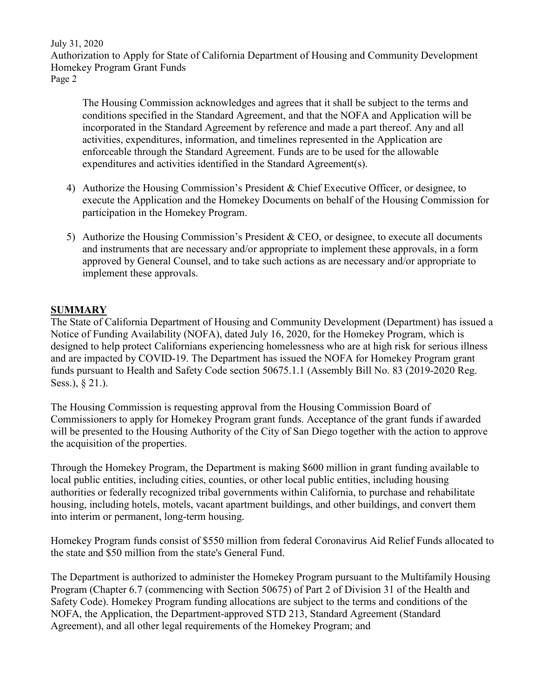July 31, 2020 Authorization to Apply for State of California Department of Housing and Community Development Homekey Program Grant Funds Page 2

The Housing Commission acknowledges and agrees that it shall be subject to the terms and conditions specified in the Standard Agreement, and that the NOFA and Application will be incorporated in the Standard Agreement by reference and made a part thereof. Any and all activities, expenditures, information, and timelines represented in the Application are enforceable through the Standard Agreement. Funds are to be used for the allowable expenditures and activities identified in the Standard Agreement(s).

- 4) Authorize the Housing Commission's President & Chief Executive Officer, or designee, to execute the Application and the Homekey Documents on behalf of the Housing Commission for participation in the Homekey Program.
- 5) Authorize the Housing Commission's President & CEO, or designee, to execute all documents and instruments that are necessary and/or appropriate to implement these approvals, in a form approved by General Counsel, and to take such actions as are necessary and/or appropriate to implement these approvals.

# **SUMMARY**

The State of California Department of Housing and Community Development (Department) has issued a Notice of Funding Availability (NOFA), dated July 16, 2020, for the Homekey Program, which is designed to help protect Californians experiencing homelessness who are at high risk for serious illness and are impacted by COVID-19. The Department has issued the NOFA for Homekey Program grant funds pursuant to Health and Safety Code section 50675.1.1 (Assembly Bill No. 83 (2019-2020 Reg. Sess.), § 21.).

The Housing Commission is requesting approval from the Housing Commission Board of Commissioners to apply for Homekey Program grant funds. Acceptance of the grant funds if awarded will be presented to the Housing Authority of the City of San Diego together with the action to approve the acquisition of the properties.

Through the Homekey Program, the Department is making \$600 million in grant funding available to local public entities, including cities, counties, or other local public entities, including housing authorities or federally recognized tribal governments within California, to purchase and rehabilitate housing, including hotels, motels, vacant apartment buildings, and other buildings, and convert them into interim or permanent, long-term housing.

Homekey Program funds consist of \$550 million from federal Coronavirus Aid Relief Funds allocated to the state and \$50 million from the state's General Fund.

The Department is authorized to administer the Homekey Program pursuant to the Multifamily Housing Program (Chapter 6.7 (commencing with Section 50675) of Part 2 of Division 31 of the Health and Safety Code). Homekey Program funding allocations are subject to the terms and conditions of the NOFA, the Application, the Department-approved STD 213, Standard Agreement (Standard Agreement), and all other legal requirements of the Homekey Program; and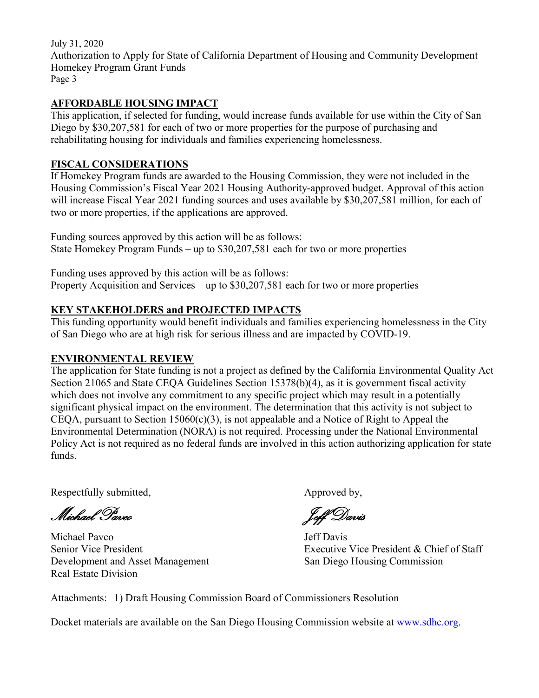July 31, 2020 Authorization to Apply for State of California Department of Housing and Community Development Homekey Program Grant Funds Page 3

# **AFFORDABLE HOUSING IMPACT**

This application, if selected for funding, would increase funds available for use within the City of San Diego by \$30,207,581 for each of two or more properties for the purpose of purchasing and rehabilitating housing for individuals and families experiencing homelessness.

# **FISCAL CONSIDERATIONS**

If Homekey Program funds are awarded to the Housing Commission, they were not included in the Housing Commission's Fiscal Year 2021 Housing Authority-approved budget. Approval of this action will increase Fiscal Year 2021 funding sources and uses available by \$30,207,581 million, for each of two or more properties, if the applications are approved.

Funding sources approved by this action will be as follows: State Homekey Program Funds – up to \$30,207,581 each for two or more properties

Funding uses approved by this action will be as follows: Property Acquisition and Services – up to \$30,207,581 each for two or more properties

# **KEY STAKEHOLDERS and PROJECTED IMPACTS**

This funding opportunity would benefit individuals and families experiencing homelessness in the City of San Diego who are at high risk for serious illness and are impacted by COVID-19.

# **ENVIRONMENTAL REVIEW**

The application for State funding is not a project as defined by the California Environmental Quality Act Section 21065 and State CEQA Guidelines Section 15378(b)(4), as it is government fiscal activity which does not involve any commitment to any specific project which may result in a potentially significant physical impact on the environment. The determination that this activity is not subject to CEQA, pursuant to Section  $15060(c)(3)$ , is not appealable and a Notice of Right to Appeal the Environmental Determination (NORA) is not required. Processing under the National Environmental Policy Act is not required as no federal funds are involved in this action authorizing application for state funds.

Respectfully submitted,  $\qquad \qquad \text{Approved by,}$ 

. Michael Pavco

Michael Pavco<br>
<u>Jeff Davis</u> Development and Asset Management San Diego Housing Commission Real Estate Division

Senior Vice President Executive Vice President & Chief of Staff

Attachments: 1) Draft Housing Commission Board of Commissioners Resolution

Docket materials are available on the San Diego Housing Commission website at [www.sdhc.org.](http://www.sdhc.org/)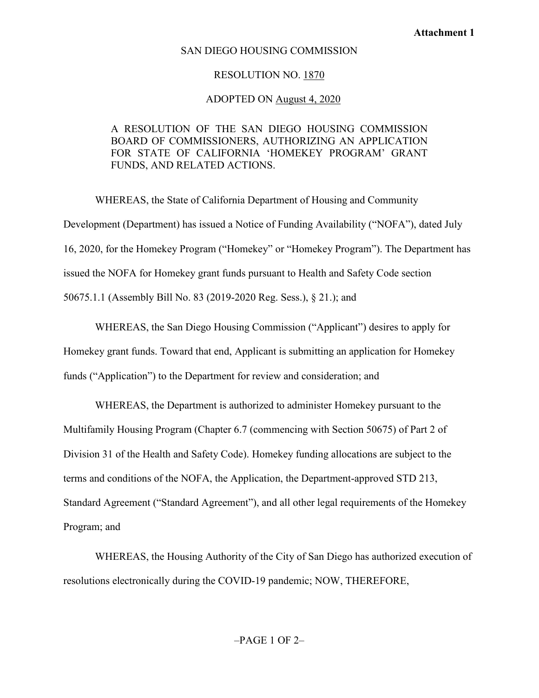### SAN DIEGO HOUSING COMMISSION

#### RESOLUTION NO. 1870

#### ADOPTED ON August 4, 2020

# A RESOLUTION OF THE SAN DIEGO HOUSING COMMISSION BOARD OF COMMISSIONERS, AUTHORIZING AN APPLICATION FOR STATE OF CALIFORNIA 'HOMEKEY PROGRAM' GRANT FUNDS, AND RELATED ACTIONS.

WHEREAS, the State of California Department of Housing and Community Development (Department) has issued a Notice of Funding Availability ("NOFA"), dated July 16, 2020, for the Homekey Program ("Homekey" or "Homekey Program"). The Department has issued the NOFA for Homekey grant funds pursuant to Health and Safety Code section 50675.1.1 (Assembly Bill No. 83 (2019-2020 Reg. Sess.), § 21.); and

WHEREAS, the San Diego Housing Commission ("Applicant") desires to apply for Homekey grant funds. Toward that end, Applicant is submitting an application for Homekey funds ("Application") to the Department for review and consideration; and

WHEREAS, the Department is authorized to administer Homekey pursuant to the Multifamily Housing Program (Chapter 6.7 (commencing with Section 50675) of Part 2 of Division 31 of the Health and Safety Code). Homekey funding allocations are subject to the terms and conditions of the NOFA, the Application, the Department-approved STD 213, Standard Agreement ("Standard Agreement"), and all other legal requirements of the Homekey Program; and

WHEREAS, the Housing Authority of the City of San Diego has authorized execution of resolutions electronically during the COVID-19 pandemic; NOW, THEREFORE,